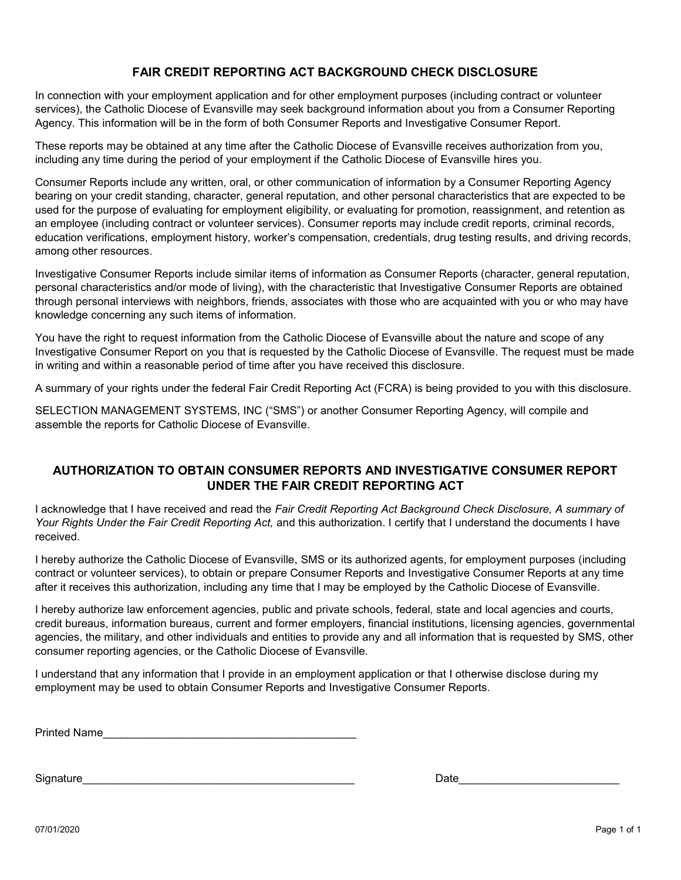## **FAIR CREDIT REPORTING ACT BACKGROUND CHECK DISCLOSURE**

In connection with your employment application and for other employment purposes (including contract or volunteer services), the Catholic Diocese of Evansville may seek background information about you from a Consumer Reporting Agency. This information will be in the form of both Consumer Reports and Investigative Consumer Report.

These reports may be obtained at any time after the Catholic Diocese of Evansville receives authorization from you, including any time during the period of your employment if the Catholic Diocese of Evansville hires you.

Consumer Reports include any written, oral, or other communication of information by a Consumer Reporting Agency bearing on your credit standing, character, general reputation, and other personal characteristics that are expected to be used for the purpose of evaluating for employment eligibility, or evaluating for promotion, reassignment, and retention as an employee (including contract or volunteer services). Consumer reports may include credit reports, criminal records, education verifications, employment history, worker's compensation, credentials, drug testing results, and driving records, among other resources.

Investigative Consumer Reports include similar items of information as Consumer Reports (character, general reputation, personal characteristics and/or mode of living), with the characteristic that Investigative Consumer Reports are obtained through personal interviews with neighbors, friends, associates with those who are acquainted with you or who may have knowledge concerning any such items of information.

You have the right to request information from the Catholic Diocese of Evansville about the nature and scope of any Investigative Consumer Report on you that is requested by the Catholic Diocese of Evansville. The request must be made in writing and within a reasonable period of time after you have received this disclosure.

A summary of your rights under the federal Fair Credit Reporting Act (FCRA) is being provided to you with this disclosure.

SELECTION MANAGEMENT SYSTEMS, INC ("SMS") or another Consumer Reporting Agency, will compile and assemble the reports for Catholic Diocese of Evansville.

## **AUTHORIZATION TO OBTAIN CONSUMER REPORTS AND INVESTIGATIVE CONSUMER REPORT UNDER THE FAIR CREDIT REPORTING ACT**

I acknowledge that I have received and read the *Fair Credit Reporting Act Background Check Disclosure, A summary of Your Rights Under the Fair Credit Reporting Act,* and this authorization. I certify that I understand the documents I have received.

I hereby authorize the Catholic Diocese of Evansville, SMS or its authorized agents, for employment purposes (including contract or volunteer services), to obtain or prepare Consumer Reports and Investigative Consumer Reports at any time after it receives this authorization, including any time that I may be employed by the Catholic Diocese of Evansville.

I hereby authorize law enforcement agencies, public and private schools, federal, state and local agencies and courts, credit bureaus, information bureaus, current and former employers, financial institutions, licensing agencies, governmental agencies, the military, and other individuals and entities to provide any and all information that is requested by SMS, other consumer reporting agencies, or the Catholic Diocese of Evansville.

I understand that any information that I provide in an employment application or that I otherwise disclose during my employment may be used to obtain Consumer Reports and Investigative Consumer Reports.

Printed Name

Signature **Example 2** and the set of the set of the set of the set of the set of the set of the set of the set of the set of the set of the set of the set of the set of the set of the set of the set of the set of the set o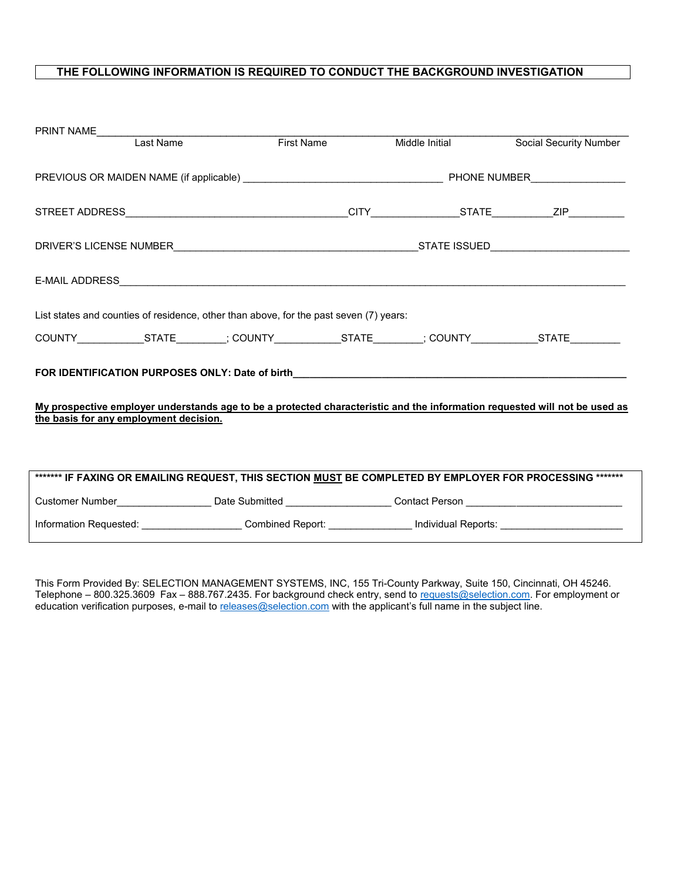## **THE FOLLOWING INFORMATION IS REQUIRED TO CONDUCT THE BACKGROUND INVESTIGATION**

|                                                                                                                                                                      | PRINT NAME<br>Last Name | First Name                                                                                                     |  | Middle Initial | <b>Social Security Number</b> |  |
|----------------------------------------------------------------------------------------------------------------------------------------------------------------------|-------------------------|----------------------------------------------------------------------------------------------------------------|--|----------------|-------------------------------|--|
|                                                                                                                                                                      |                         |                                                                                                                |  |                |                               |  |
|                                                                                                                                                                      |                         |                                                                                                                |  |                |                               |  |
|                                                                                                                                                                      |                         |                                                                                                                |  |                |                               |  |
|                                                                                                                                                                      |                         |                                                                                                                |  |                |                               |  |
|                                                                                                                                                                      |                         |                                                                                                                |  |                |                               |  |
|                                                                                                                                                                      |                         |                                                                                                                |  |                |                               |  |
|                                                                                                                                                                      |                         |                                                                                                                |  |                |                               |  |
|                                                                                                                                                                      |                         |                                                                                                                |  |                |                               |  |
|                                                                                                                                                                      |                         |                                                                                                                |  |                |                               |  |
| List states and counties of residence, other than above, for the past seven (7) years:                                                                               |                         |                                                                                                                |  |                |                               |  |
|                                                                                                                                                                      |                         |                                                                                                                |  |                |                               |  |
|                                                                                                                                                                      |                         |                                                                                                                |  |                |                               |  |
|                                                                                                                                                                      |                         |                                                                                                                |  |                |                               |  |
|                                                                                                                                                                      |                         |                                                                                                                |  |                |                               |  |
|                                                                                                                                                                      |                         |                                                                                                                |  |                |                               |  |
| My prospective employer understands age to be a protected characteristic and the information requested will not be used as<br>the basis for any employment decision. |                         |                                                                                                                |  |                |                               |  |
|                                                                                                                                                                      |                         |                                                                                                                |  |                |                               |  |
|                                                                                                                                                                      |                         |                                                                                                                |  |                |                               |  |
|                                                                                                                                                                      |                         |                                                                                                                |  |                |                               |  |
| ******** IF FAXING OR EMAILING REQUEST, THIS SECTION MUST BE COMPLETED BY EMPLOYER FOR PROCESSING ********                                                           |                         |                                                                                                                |  |                |                               |  |
|                                                                                                                                                                      |                         | Customer Number______________________Date Submitted _____________________Contact Person ______________________ |  |                |                               |  |
|                                                                                                                                                                      |                         |                                                                                                                |  |                |                               |  |

Information Requested: \_\_\_\_\_\_\_\_\_\_\_\_\_\_\_\_\_\_\_\_\_\_\_Combined Report: \_\_\_\_\_\_\_\_\_\_\_\_\_\_\_\_\_ Individual Reports: \_\_\_\_\_\_\_\_

This Form Provided By: SELECTION MANAGEMENT SYSTEMS, INC, 155 Tri-County Parkway, Suite 150, Cincinnati, OH 45246. Telephone – 800.325.3609 Fax – 888.767.2435. For background check entry, send to requests@selection.com. For employment or education verification purposes, e-mail to releases@selection.com with the applicant's full name in the subject line.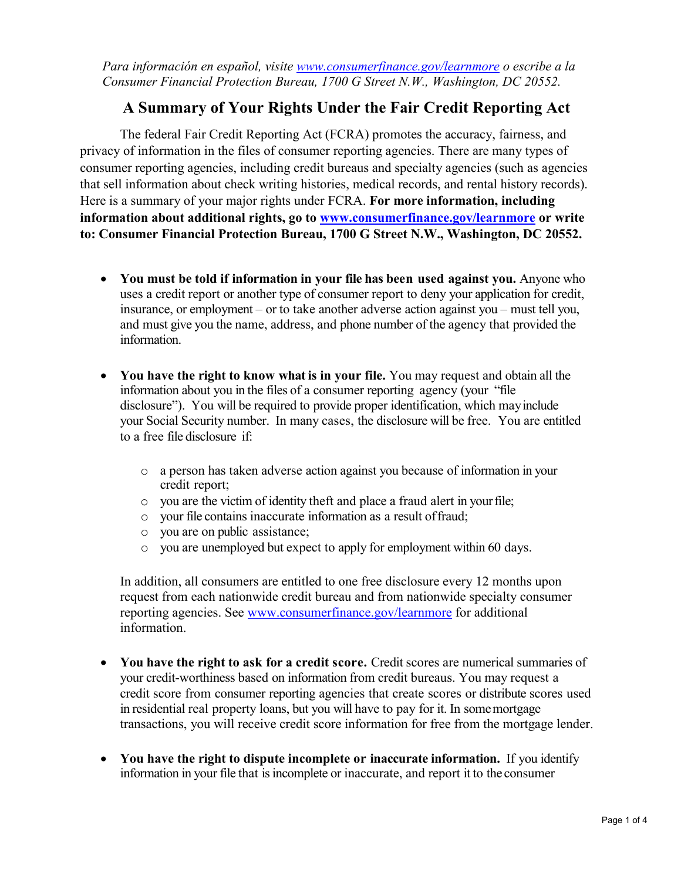*Para información en español, visite www.consumerfinance.gov/learnmore o escribe a la Consumer Financial Protection Bureau, 1700 G Street N.W., Washington, DC 20552.*

## **A Summary of Your Rights Under the Fair Credit Reporting Act**

The federal Fair Credit Reporting Act (FCRA) promotes the accuracy, fairness, and privacy of information in the files of consumer reporting agencies. There are many types of consumer reporting agencies, including credit bureaus and specialty agencies (such as agencies that sell information about check writing histories, medical records, and rental history records). Here is a summary of your major rights under FCRA. **For more information, including information about additional rights, go to www.consumerfinance.gov/learnmore or write to: Consumer Financial Protection Bureau, 1700 G Street N.W., Washington, DC 20552.**

- x **You must be told if information in your file has been used against you.** Anyone who uses a credit report or another type of consumer report to deny your application for credit, insurance, or employment – or to take another adverse action against you – must tell you, and must give you the name, address, and phone number of the agency that provided the information.
- You have the right to know what is in your file. You may request and obtain all the information about you in the files of a consumer reporting agency (your "file disclosure"). You will be required to provide proper identification, which mayinclude your Social Security number. In many cases, the disclosure will be free. You are entitled to a free file disclosure if:
	- o a person has taken adverse action against you because of information in your credit report;
	- o you are the victim of identity theft and place a fraud alert in yourfile;
	- o your file contains inaccurate information as a result offraud;
	- o you are on public assistance;
	- o you are unemployed but expect to apply for employment within 60 days.

In addition, all consumers are entitled to one free disclosure every 12 months upon request from each nationwide credit bureau and from nationwide specialty consumer reporting agencies. See www.consumerfinance.gov/learnmore for additional information.

- x **You have the right to ask for a credit score.** Credit scores are numerical summaries of your credit-worthiness based on information from credit bureaus. You may request a credit score from consumer reporting agencies that create scores or distribute scores used in residential real property loans, but you will have to pay for it. In somemortgage transactions, you will receive credit score information for free from the mortgage lender.
- You have the right to dispute incomplete or inaccurate information. If you identify information in your file that is incomplete or inaccurate, and report it to the consumer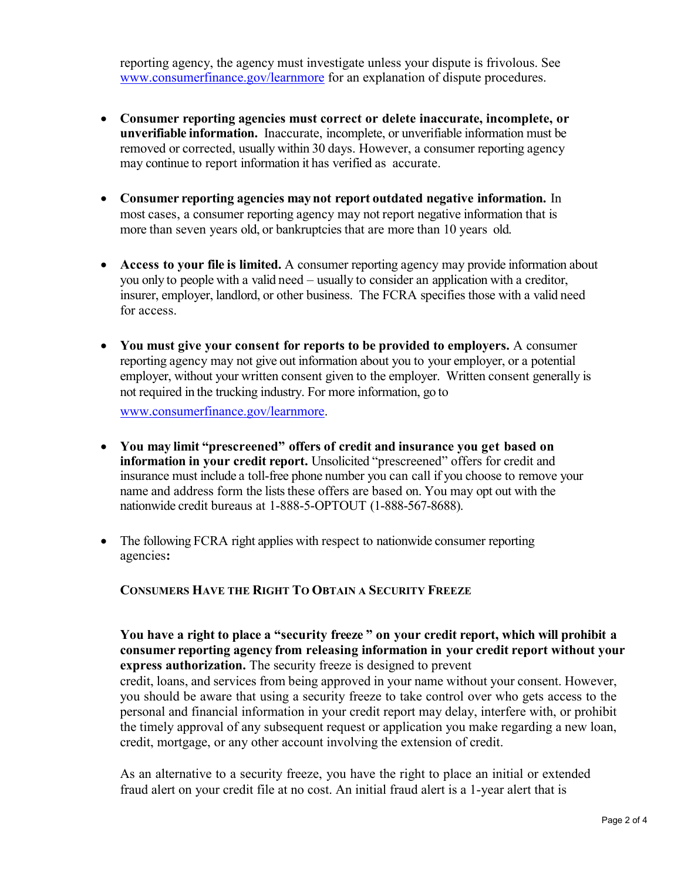reporting agency, the agency must investigate unless your dispute is frivolous. See www.consumerfinance.gov/learnmore for an explanation of dispute procedures.

- x **Consumer reporting agencies must correct or delete inaccurate, incomplete, or unverifiable information.** Inaccurate, incomplete, or unverifiable information must be removed or corrected, usually within 30 days. However, a consumer reporting agency may continue to report information it has verified as accurate.
- x **Consumer reporting agencies may not report outdated negative information.** In most cases, a consumer reporting agency may not report negative information that is more than seven years old, or bankruptcies that are more than 10 years old.
- **Access to your file is limited.** A consumer reporting agency may provide information about you only to people with a valid need – usually to consider an application with a creditor, insurer, employer, landlord, or other business. The FCRA specifies those with a valid need for access.
- x **You must give your consent for reports to be provided to employers.** A consumer reporting agency may not give out information about you to your employer, or a potential employer, without your written consent given to the employer. Written consent generally is not required in the trucking industry. For more information, go to

www.consumerfinance.gov/learnmore.

- x **You may limit "prescreened" offers of credit and insurance you get based on information in your credit report.** Unsolicited "prescreened" offers for credit and insurance must include a toll-free phone number you can call if you choose to remove your name and address form the lists these offers are based on. You may opt out with the nationwide credit bureaus at 1-888-5-OPTOUT (1-888-567-8688).
- The following FCRA right applies with respect to nationwide consumer reporting agencies**:**

**CONSUMERS HAVE THE RIGHT TO OBTAIN A SECURITY FREEZE**

**You have a right to place a "security freeze " on your credit report, which will prohibit a consumer reporting agency from releasing information in your credit report without your express authorization.** The security freeze is designed to prevent

credit, loans, and services from being approved in your name without your consent. However, you should be aware that using a security freeze to take control over who gets access to the personal and financial information in your credit report may delay, interfere with, or prohibit the timely approval of any subsequent request or application you make regarding a new loan, credit, mortgage, or any other account involving the extension of credit.

As an alternative to a security freeze, you have the right to place an initial or extended fraud alert on your credit file at no cost. An initial fraud alert is a 1-year alert that is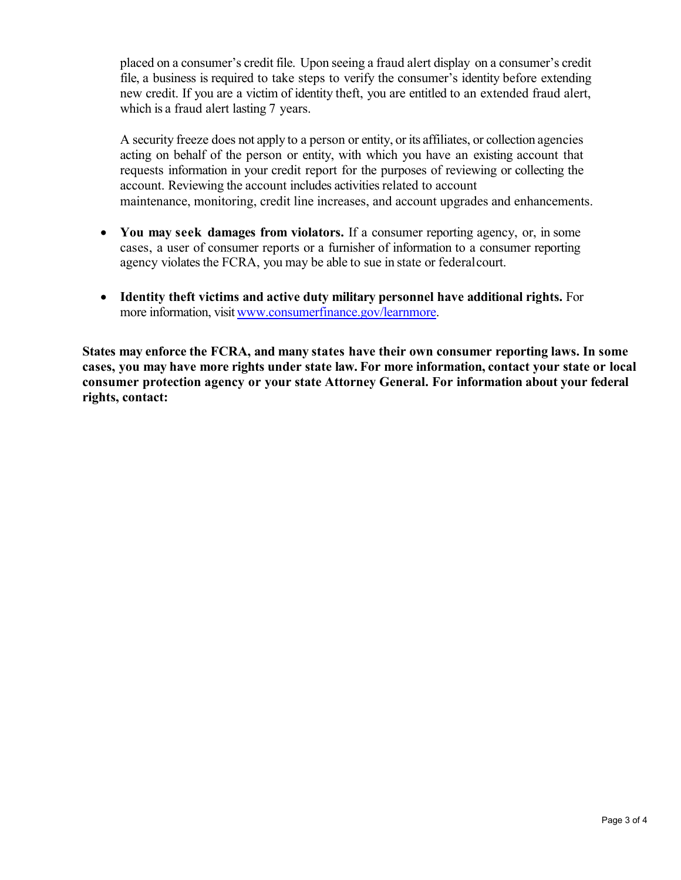placed on a consumer's credit file. Upon seeing a fraud alert display on a consumer's credit file, a business is required to take steps to verify the consumer's identity before extending new credit. If you are a victim of identity theft, you are entitled to an extended fraud alert, which is a fraud alert lasting 7 years.

A security freeze does not apply to a person or entity, or its affiliates, or collection agencies acting on behalf of the person or entity, with which you have an existing account that requests information in your credit report for the purposes of reviewing or collecting the account. Reviewing the account includes activities related to account maintenance, monitoring, credit line increases, and account upgrades and enhancements.

- You may seek damages from violators. If a consumer reporting agency, or, in some cases, a user of consumer reports or a furnisher of information to a consumer reporting agency violates the FCRA, you may be able to sue in state or federalcourt.
- Identity theft victims and active duty military personnel have additional rights. For more information, visit www.consumerfinance.gov/learnmore.

**States may enforce the FCRA, and many states have their own consumer reporting laws. In some cases, you may have more rights under state law. For more information, contact your state or local consumer protection agency or your state Attorney General. For information about your federal rights, contact:**